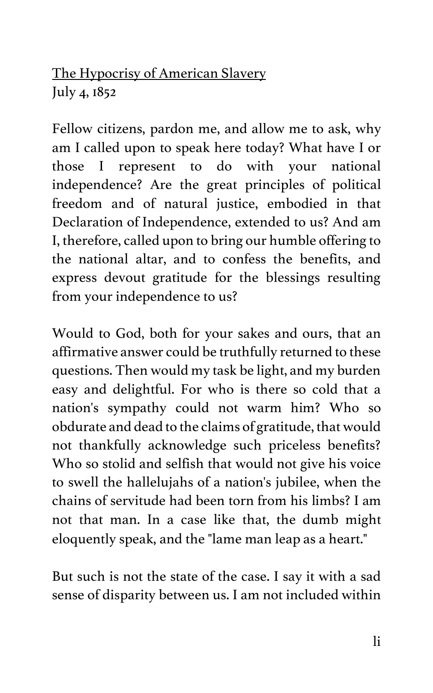## The Hypocrisy of American Slavery July 4, 1852

Fellow citizens, pardon me, and allow me to ask, why am I called upon to speak here today? What have I or those I represent to do with your national independence? Are the great principles of political freedom and of natural justice, embodied in that Declaration of Independence, extended to us? And am I, therefore, called upon to bring our humble offering to the national altar, and to confess the benefits, and express devout gratitude for the blessings resulting from your independence to us?

Would to God, both for your sakes and ours, that an affirmative answer could be truthfully returned to these questions. Then would my task be light, and my burden easy and delightful. For who is there so cold that a nation's sympathy could not warm him? Who so obdurate and dead to the claims of gratitude, that would not thankfully acknowledge such priceless benefits? Who so stolid and selfish that would not give his voice to swell the hallelujahs of a nation's jubilee, when the chains of servitude had been torn from his limbs? I am not that man. In a case like that, the dumb might eloquently speak, and the "lame man leap as a heart."

But such is not the state of the case. I say it with a sad sense of disparity between us. I am not included within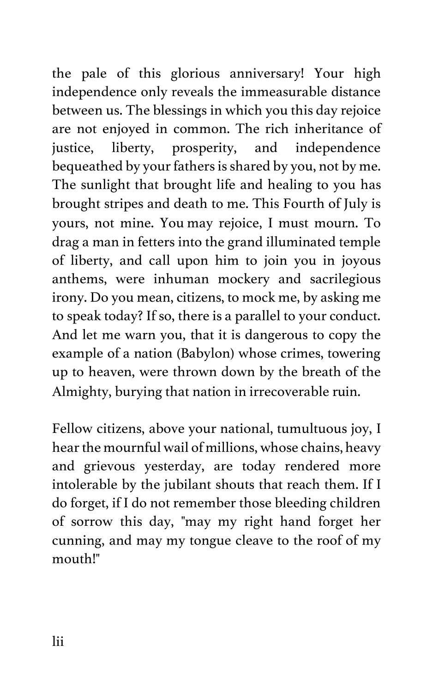the pale of this glorious anniversary! Your high independence only reveals the immeasurable distance between us. The blessings in which you this day rejoice are not enjoyed in common. The rich inheritance of justice, liberty, prosperity, and independence bequeathed by your fathers is shared by you, not by me. The sunlight that brought life and healing to you has brought stripes and death to me. This Fourth of July is yours, not mine. You may rejoice, I must mourn. To drag a man in fetters into the grand illuminated temple of liberty, and call upon him to join you in joyous anthems, were inhuman mockery and sacrilegious irony. Do you mean, citizens, to mock me, by asking me to speak today? If so, there is a parallel to your conduct. And let me warn you, that it is dangerous to copy the example of a nation (Babylon) whose crimes, towering up to heaven, were thrown down by the breath of the Almighty, burying that nation in irrecoverable ruin.

Fellow citizens, above your national, tumultuous joy, I hear the mournful wail of millions, whose chains, heavy and grievous yesterday, are today rendered more intolerable by the jubilant shouts that reach them. If I do forget, if I do not remember those bleeding children of sorrow this day, "may my right hand forget her cunning, and may my tongue cleave to the roof of my mouth!"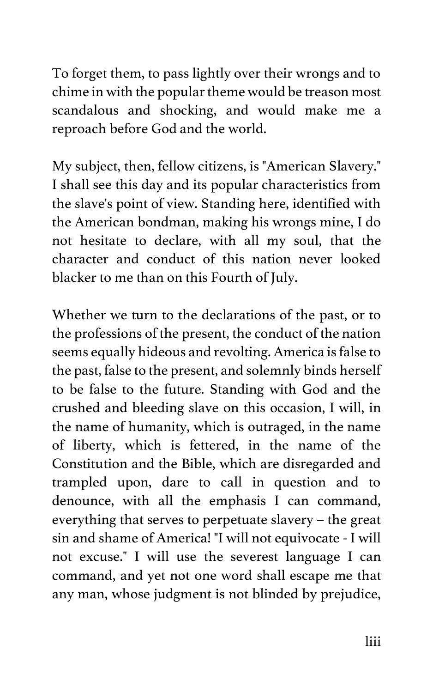To forget them, to pass lightly over their wrongs and to chime in with the popular theme would be treason most scandalous and shocking, and would make me a reproach before God and the world.

My subject, then, fellow citizens, is "American Slavery." I shall see this day and its popular characteristics from the slave's point of view. Standing here, identified with the American bondman, making his wrongs mine, I do not hesitate to declare, with all my soul, that the character and conduct of this nation never looked blacker to me than on this Fourth of July.

Whether we turn to the declarations of the past, or to the professions of the present, the conduct of the nation seems equally hideous and revolting. America is false to the past, false to the present, and solemnly binds herself to be false to the future. Standing with God and the crushed and bleeding slave on this occasion, I will, in the name of humanity, which is outraged, in the name of liberty, which is fettered, in the name of the Constitution and the Bible, which are disregarded and trampled upon, dare to call in question and to denounce, with all the emphasis I can command, everything that serves to perpetuate slavery – the great sin and shame of America! "I will not equivocate - I will not excuse." I will use the severest language I can command, and yet not one word shall escape me that any man, whose judgment is not blinded by prejudice,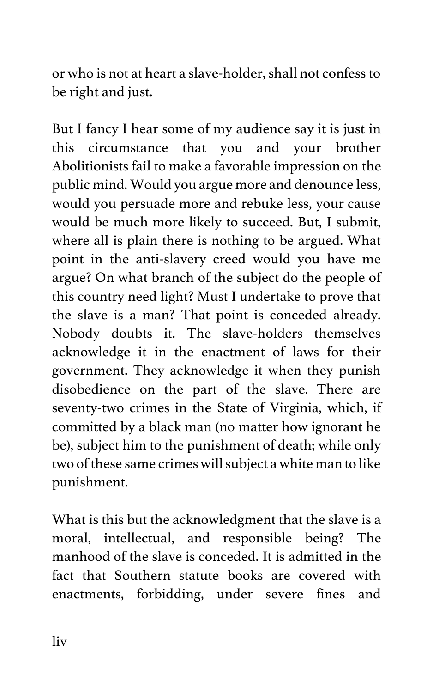or who is not at heart a slave-holder, shall not confess to be right and just.

But I fancy I hear some of my audience say it is just in this circumstance that you and your brother Abolitionists fail to make a favorable impression on the public mind. Would you argue more and denounce less, would you persuade more and rebuke less, your cause would be much more likely to succeed. But, I submit, where all is plain there is nothing to be argued. What point in the anti-slavery creed would you have me argue? On what branch of the subject do the people of this country need light? Must I undertake to prove that the slave is a man? That point is conceded already. Nobody doubts it. The slave-holders themselves acknowledge it in the enactment of laws for their government. They acknowledge it when they punish disobedience on the part of the slave. There are seventy-two crimes in the State of Virginia, which, if committed by a black man (no matter how ignorant he be), subject him to the punishment of death; while only two of these same crimes will subject a white man to like punishment.

What is this but the acknowledgment that the slave is a moral, intellectual, and responsible being? The manhood of the slave is conceded. It is admitted in the fact that Southern statute books are covered with enactments, forbidding, under severe fines and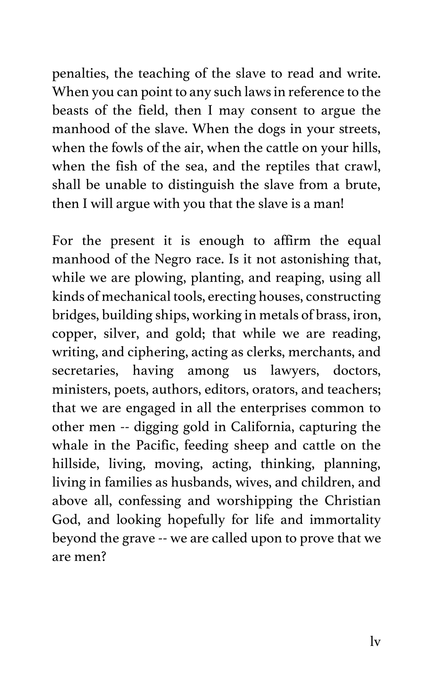penalties, the teaching of the slave to read and write. When you can point to any such laws in reference to the beasts of the field, then I may consent to argue the manhood of the slave. When the dogs in your streets, when the fowls of the air, when the cattle on your hills, when the fish of the sea, and the reptiles that crawl, shall be unable to distinguish the slave from a brute, then I will argue with you that the slave is a man!

For the present it is enough to affirm the equal manhood of the Negro race. Is it not astonishing that, while we are plowing, planting, and reaping, using all kinds of mechanical tools, erecting houses, constructing bridges, building ships, working in metals of brass, iron, copper, silver, and gold; that while we are reading, writing, and ciphering, acting as clerks, merchants, and secretaries, having among us lawyers, doctors, ministers, poets, authors, editors, orators, and teachers; that we are engaged in all the enterprises common to other men -- digging gold in California, capturing the whale in the Pacific, feeding sheep and cattle on the hillside, living, moving, acting, thinking, planning, living in families as husbands, wives, and children, and above all, confessing and worshipping the Christian God, and looking hopefully for life and immortality beyond the grave -- we are called upon to prove that we are men?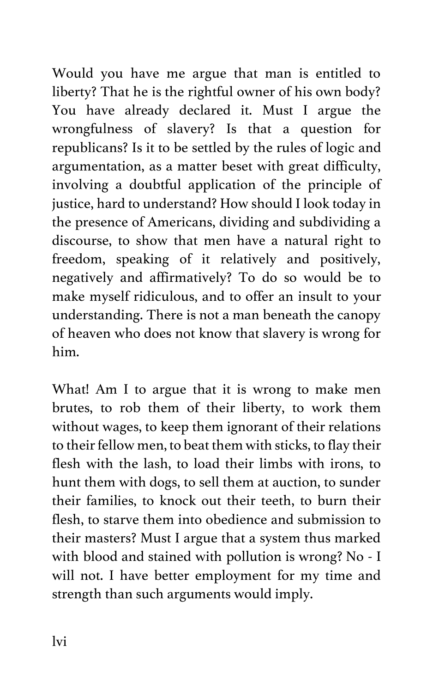Would you have me argue that man is entitled to liberty? That he is the rightful owner of his own body? You have already declared it. Must I argue the wrongfulness of slavery? Is that a question for republicans? Is it to be settled by the rules of logic and argumentation, as a matter beset with great difficulty, involving a doubtful application of the principle of justice, hard to understand? How should I look today in the presence of Americans, dividing and subdividing a discourse, to show that men have a natural right to freedom, speaking of it relatively and positively, negatively and affirmatively? To do so would be to make myself ridiculous, and to offer an insult to your understanding. There is not a man beneath the canopy of heaven who does not know that slavery is wrong for him.

What! Am I to argue that it is wrong to make men brutes, to rob them of their liberty, to work them without wages, to keep them ignorant of their relations to their fellow men, to beat them with sticks, to flay their flesh with the lash, to load their limbs with irons, to hunt them with dogs, to sell them at auction, to sunder their families, to knock out their teeth, to burn their flesh, to starve them into obedience and submission to their masters? Must I argue that a system thus marked with blood and stained with pollution is wrong? No - I will not. I have better employment for my time and strength than such arguments would imply.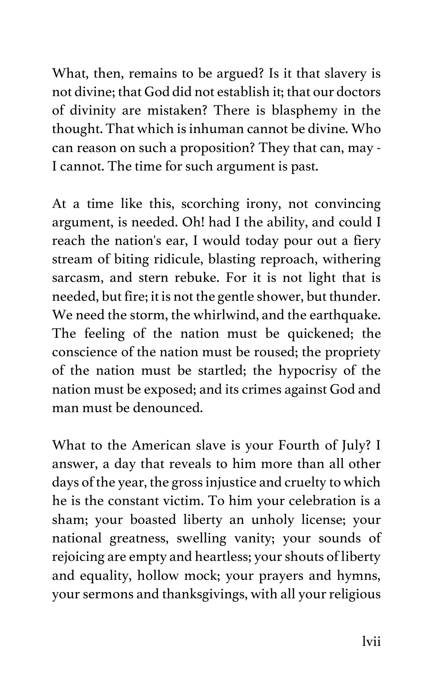What, then, remains to be argued? Is it that slavery is not divine; that God did not establish it; that our doctors of divinity are mistaken? There is blasphemy in the thought. That which is inhuman cannot be divine. Who can reason on such a proposition? They that can, may - I cannot. The time for such argument is past.

At a time like this, scorching irony, not convincing argument, is needed. Oh! had I the ability, and could I reach the nation's ear, I would today pour out a fiery stream of biting ridicule, blasting reproach, withering sarcasm, and stern rebuke. For it is not light that is needed, but fire; it is not the gentle shower, but thunder. We need the storm, the whirlwind, and the earthquake. The feeling of the nation must be quickened; the conscience of the nation must be roused; the propriety of the nation must be startled; the hypocrisy of the nation must be exposed; and its crimes against God and man must be denounced.

What to the American slave is your Fourth of July? I answer, a day that reveals to him more than all other days of the year, the gross injustice and cruelty to which he is the constant victim. To him your celebration is a sham; your boasted liberty an unholy license; your national greatness, swelling vanity; your sounds of rejoicing are empty and heartless; your shouts of liberty and equality, hollow mock; your prayers and hymns, your sermons and thanksgivings, with all your religious